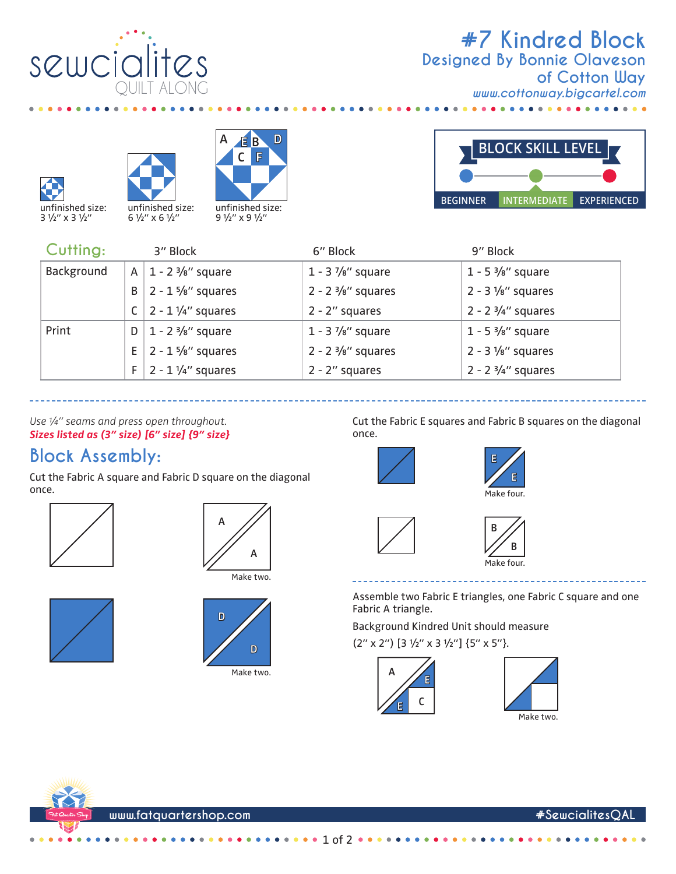

## **#7 Kindred Block** *www.cottonway.bigcartel.com* **Designed By Bonnie Olaveson of Cotton Way**

 $\ddot{\phantom{a}}$ 







9 1/2" x 9 1/2"



| Cutting:   |    | 3" Block                          | 6" Block                      | 9" Block                          |
|------------|----|-----------------------------------|-------------------------------|-----------------------------------|
| Background | A  | $1 - 2 \frac{3}{8}$ " square      | $1 - 3\frac{7}{8}$ " square   | $1 - 5 \frac{3}{8}$ " square      |
|            | B  | $2 - 1$ 5/8" squares              | $2 - 2 \frac{3}{8}$ " squares | $2 - 3$ 1/ <sub>8</sub> " squares |
|            |    | C $\vert$ 2 - 1 1/4" squares      | $2 - 2$ " squares             | 2 - 2 $3/4$ " squares             |
| Print      | D  | $1 - 2 \frac{3}{8}$ " square      | $1 - 3\frac{7}{8}$ " square   | $1 - 5\frac{3}{8}$ " square       |
|            |    | E   2 - 1 $\frac{5}{8}$ " squares | $2 - 2 \frac{3}{8}$ " squares | $2 - 3$ 1/ <sub>8</sub> " squares |
|            | F. | $2 - 1$ 1/4" squares              | $2 - 2$ " squares             | 2 - 2 $3/4''$ squares             |

*Use ¼" seams and press open throughout. Sizes listed as (3" size) [6" size] {9" size}*

## **Block Assembly:**

Cut the Fabric A square and Fabric D square on the diagonal once.









**D**

Make two.

Cut the Fabric E squares and Fabric B squares on the diagonal once.









Assemble two Fabric E triangles, one Fabric C square and one Fabric A triangle.

Background Kindred Unit should measure (2" x 2") [3 1/2" x 3 1/2"] {5" x 5"}.



1 of 2